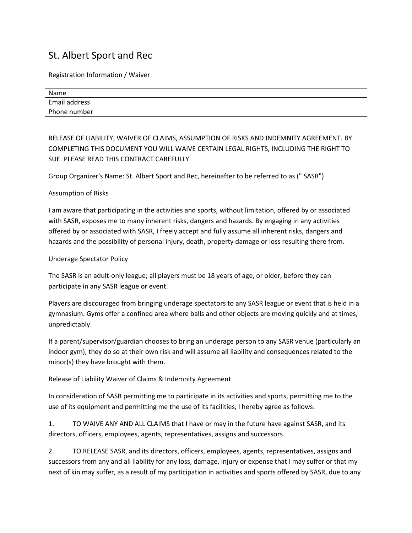## St. Albert Sport and Rec

Registration Information / Waiver

| Name          |  |
|---------------|--|
| Email address |  |
| Phone number  |  |

RELEASE OF LIABILITY, WAIVER OF CLAIMS, ASSUMPTION OF RISKS AND INDEMNITY AGREEMENT. BY COMPLETING THIS DOCUMENT YOU WILL WAIVE CERTAIN LEGAL RIGHTS, INCLUDING THE RIGHT TO SUE. PLEASE READ THIS CONTRACT CAREFULLY

Group Organizer's Name: St. Albert Sport and Rec, hereinafter to be referred to as (" SASR")

## Assumption of Risks

I am aware that participating in the activities and sports, without limitation, offered by or associated with SASR, exposes me to many inherent risks, dangers and hazards. By engaging in any activities offered by or associated with SASR, I freely accept and fully assume all inherent risks, dangers and hazards and the possibility of personal injury, death, property damage or loss resulting there from.

Underage Spectator Policy

The SASR is an adult-only league; all players must be 18 years of age, or older, before they can participate in any SASR league or event.

Players are discouraged from bringing underage spectators to any SASR league or event that is held in a gymnasium. Gyms offer a confined area where balls and other objects are moving quickly and at times, unpredictably.

If a parent/supervisor/guardian chooses to bring an underage person to any SASR venue (particularly an indoor gym), they do so at their own risk and will assume all liability and consequences related to the minor(s) they have brought with them.

Release of Liability Waiver of Claims & Indemnity Agreement

In consideration of SASR permitting me to participate in its activities and sports, permitting me to the use of its equipment and permitting me the use of its facilities, I hereby agree as follows:

1. TO WAIVE ANY AND ALL CLAIMS that I have or may in the future have against SASR, and its directors, officers, employees, agents, representatives, assigns and successors.

2. TO RELEASE SASR, and its directors, officers, employees, agents, representatives, assigns and successors from any and all liability for any loss, damage, injury or expense that I may suffer or that my next of kin may suffer, as a result of my participation in activities and sports offered by SASR, due to any